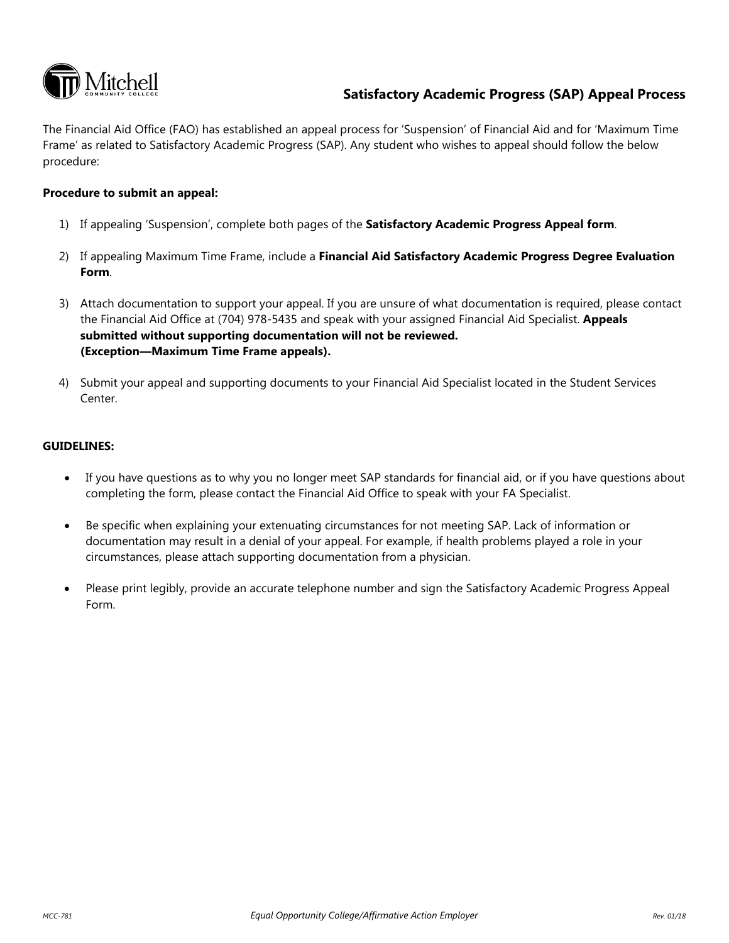

## **Satisfactory Academic Progress (SAP) Appeal Process**

 Frame' as related to Satisfactory Academic Progress (SAP). Any student who wishes to appeal should follow the below The Financial Aid Office (FAO) has established an appeal process for 'Suspension' of Financial Aid and for 'Maximum Time procedure:

### **Procedure to submit an appeal:**

- 1) If appealing 'Suspension', complete both pages of the **Satisfactory Academic Progress Appeal form**.
- 2) If appealing Maximum Time Frame, include a **Financial Aid Satisfactory Academic Progress Degree Evaluation Form**.
- the Financial Aid Office at (704) 978-5435 and speak with your assigned Financial Aid Specialist. **Appeals submitted without supporting documentation will not be reviewed. (Exception—Maximum Time Frame appeals).**  3) Attach documentation to support your appeal. If you are unsure of what documentation is required, please contact
- 4) Submit your appeal and supporting documents to your Financial Aid Specialist located in the Student Services Center.

### **GUIDELINES:**

- If you have questions as to why you no longer meet SAP standards for financial aid, or if you have questions about completing the form, please contact the Financial Aid Office to speak with your FA Specialist.
- • Be specific when explaining your extenuating circumstances for not meeting SAP. Lack of information or documentation may result in a denial of your appeal. For example, if health problems played a role in your circumstances, please attach supporting documentation from a physician.
- Please print legibly, provide an accurate telephone number and sign the Satisfactory Academic Progress Appeal Form.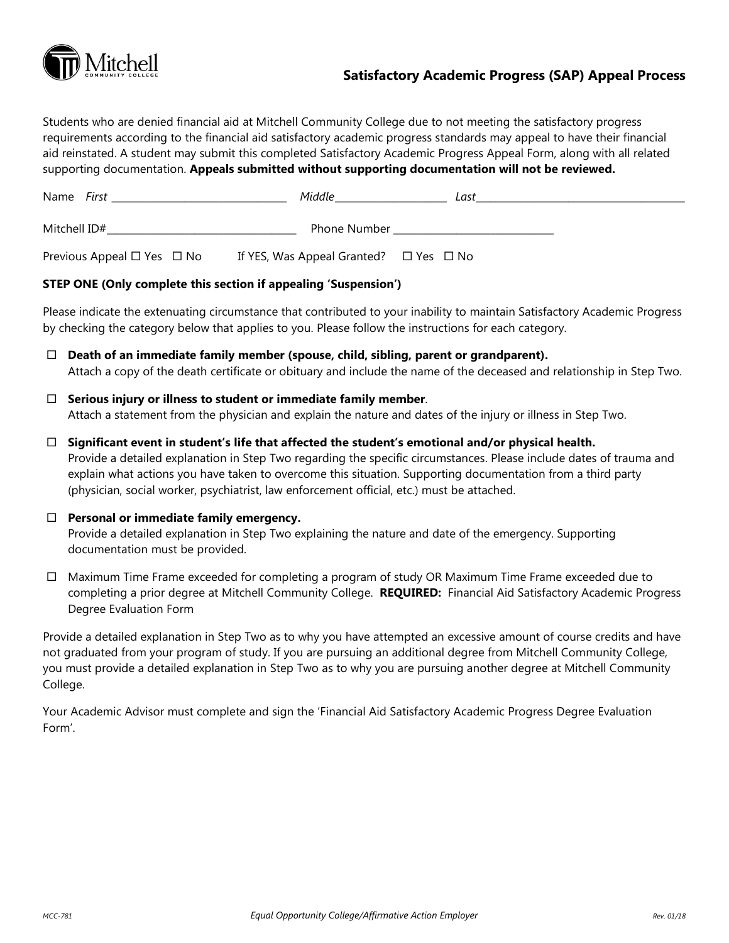

# **Satisfactory Academic Progress (SAP) Appeal Process**

Students who are denied financial aid at Mitchell Community College due to not meeting the satisfactory progress requirements according to the financial aid satisfactory academic progress standards may appeal to have their financial aid reinstated. A student may submit this completed Satisfactory Academic Progress Appeal Form, along with all related supporting documentation. **Appeals submitted without supporting documentation will not be reviewed.** 

| Name <i>First</i>                    | Middle                                           | Last |  |
|--------------------------------------|--------------------------------------------------|------|--|
| Mitchell ID#                         | <b>Phone Number</b>                              |      |  |
| Previous Appeal $\Box$ Yes $\Box$ No | If YES, Was Appeal Granted? $\Box$ Yes $\Box$ No |      |  |

## **STEP ONE (Only complete this section if appealing 'Suspension')**

 Please indicate the extenuating circumstance that contributed to your inability to maintain Satisfactory Academic Progress by checking the category below that applies to you. Please follow the instructions for each category.

- **Death of an immediate family member (spouse, child, sibling, parent or grandparent).**  Attach a copy of the death certificate or obituary and include the name of the deceased and relationship in Step Two.
- **Serious injury or illness to student or immediate family member**. Attach a statement from the physician and explain the nature and dates of the injury or illness in Step Two.
- **Significant event in student's life that affected the student's emotional and/or physical health.**  Provide a detailed explanation in Step Two regarding the specific circumstances. Please include dates of trauma and explain what actions you have taken to overcome this situation. Supporting documentation from a third party (physician, social worker, psychiatrist, law enforcement official, etc.) must be attached.
- **Personal or immediate family emergency.**

Provide a detailed explanation in Step Two explaining the nature and date of the emergency. Supporting documentation must be provided.

 completing a prior degree at Mitchell Community College. **REQUIRED:** Financial Aid Satisfactory Academic Progress  $\Box$  Maximum Time Frame exceeded for completing a program of study OR Maximum Time Frame exceeded due to Degree Evaluation Form

 Provide a detailed explanation in Step Two as to why you have attempted an excessive amount of course credits and have not graduated from your program of study. If you are pursuing an additional degree from Mitchell Community College, you must provide a detailed explanation in Step Two as to why you are pursuing another degree at Mitchell Community College.

 Form'. Your Academic Advisor must complete and sign the 'Financial Aid Satisfactory Academic Progress Degree Evaluation